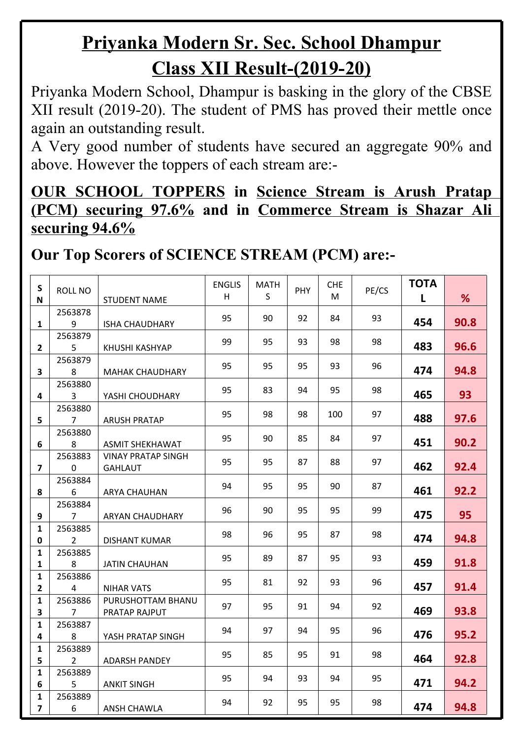# **Priyanka Modern Sr. Sec. School Dhampur Class XII Result-(2019-20)**

Priyanka Modern School, Dhampur is basking in the glory of the CBSE XII result (2019-20). The student of PMS has proved their mettle once again an outstanding result.

A Very good number of students have secured an aggregate 90% and above. However the toppers of each stream are:-

**OUR SCHOOL TOPPERS in Science Stream is Arush Pratap (PCM) securing 97.6% and in Commerce Stream is Shazar Ali securing 94.6%**

#### **Our Top Scorers of SCIENCE STREAM (PCM) are:-**

| $\mathsf S$<br>N               | ROLL NO                   | <b>STUDENT NAME</b>                         | <b>ENGLIS</b><br>H | <b>MATH</b><br>S | PHY | <b>CHE</b><br>M | PE/CS | <b>TOTA</b><br>L | %    |  |
|--------------------------------|---------------------------|---------------------------------------------|--------------------|------------------|-----|-----------------|-------|------------------|------|--|
| $\mathbf{1}$                   | 2563878<br>9              | <b>ISHA CHAUDHARY</b>                       | 95                 | 90               | 92  | 84              | 93    | 454              | 90.8 |  |
| $2^{\circ}$                    | 2563879<br>5              | KHUSHI KASHYAP                              | 99                 | 95               | 93  | 98              | 98    | 483              | 96.6 |  |
| $\overline{\mathbf{3}}$        | 2563879<br>8              | <b>MAHAK CHAUDHARY</b>                      | 95                 | 95               | 95  | 93              | 96    | 474              | 94.8 |  |
| $\overline{\mathbf{4}}$        | 2563880<br>3              | YASHI CHOUDHARY                             | 95                 | 83               | 94  | 95              | 98    | 465              | 93   |  |
| 5                              | 2563880<br>$\overline{7}$ | <b>ARUSH PRATAP</b>                         | 95                 | 98               | 98  | 100             | 97    | 488              | 97.6 |  |
| 6                              | 2563880<br>8              | <b>ASMIT SHEKHAWAT</b>                      | 95                 | 90               | 85  | 84              | 97    | 451              | 90.2 |  |
| $\overline{7}$                 | 2563883<br>$\mathbf 0$    | <b>VINAY PRATAP SINGH</b><br><b>GAHLAUT</b> | 95                 | 95               | 87  | 88              | 97    | 462              | 92.4 |  |
| 8                              | 2563884<br>6              | <b>ARYA CHAUHAN</b>                         | 94                 | 95               | 95  | 90              | 87    | 461              | 92.2 |  |
| 9                              | 2563884<br>$\overline{7}$ | ARYAN CHAUDHARY                             | 96                 | 90               | 95  | 95              | 99    | 475              | 95   |  |
| $\mathbf{1}$<br>0              | 2563885<br>$\overline{2}$ | <b>DISHANT KUMAR</b>                        | 98                 | 96               | 95  | 87              | 98    | 474              | 94.8 |  |
| $\mathbf{1}$<br>$\mathbf{1}$   | 2563885<br>8              | <b>JATIN CHAUHAN</b>                        | 95                 | 89               | 87  | 95              | 93    | 459              | 91.8 |  |
| $\mathbf{1}$<br>$\overline{2}$ | 2563886<br>$\overline{4}$ | <b>NIHAR VATS</b>                           | 95                 | 81               | 92  | 93              | 96    | 457              | 91.4 |  |
| $\mathbf{1}$<br>$\mathbf{3}$   | 2563886<br>$\overline{7}$ | PURUSHOTTAM BHANU<br>PRATAP RAJPUT          | 97                 | 95               | 91  | 94              | 92    | 469              | 93.8 |  |
| $\mathbf{1}$<br>4              | 2563887<br>8              | YASH PRATAP SINGH                           | 94                 | 97               | 94  | 95              | 96    | 476              | 95.2 |  |
| $\mathbf{1}$<br>5              | 2563889<br>$\overline{2}$ | <b>ADARSH PANDEY</b>                        | 95                 | 85               | 95  | 91              | 98    | 464              | 92.8 |  |
| $\mathbf{1}$<br>6              | 2563889<br>5              | <b>ANKIT SINGH</b>                          | 95                 | 94               | 93  | 94              | 95    | 471              | 94.2 |  |
| $\mathbf{1}$<br>$\overline{7}$ | 2563889<br>6              | <b>ANSH CHAWLA</b>                          | 94                 | 92               | 95  | 95              | 98    | 474              | 94.8 |  |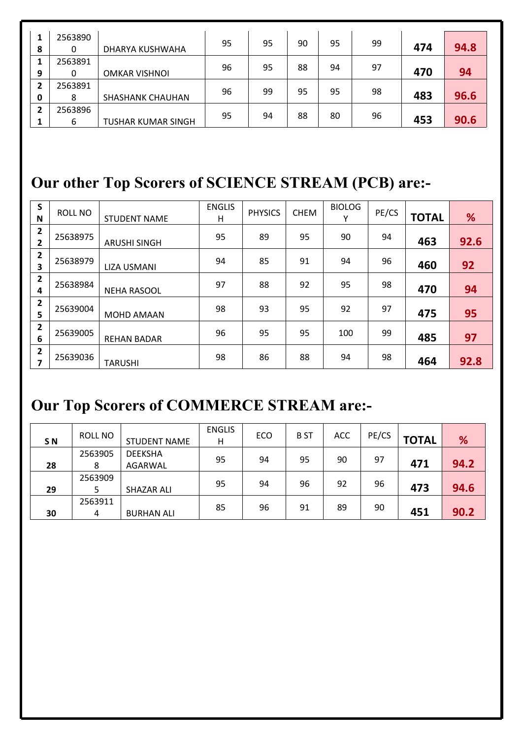| 8      | 2563890      | DHARYA KUSHWAHA           | 95 | 95 | 90 | 95 | 99 | 474 | 94.8 |  |
|--------|--------------|---------------------------|----|----|----|----|----|-----|------|--|
| 9      | 2563891      | <b>OMKAR VISHNOI</b>      | 96 | 95 | 88 | 94 | 97 | 470 | 94   |  |
| 2<br>0 | 2563891<br>8 | <b>SHASHANK CHAUHAN</b>   | 96 | 99 | 95 | 95 | 98 | 483 | 96.6 |  |
| 2      | 2563896<br>ь | <b>TUSHAR KUMAR SINGH</b> | 95 | 94 | 88 | 80 | 96 | 453 | 90.6 |  |

### **Our other Top Scorers of SCIENCE STREAM (PCB) are:-**

| $\epsilon$<br>э              | ROLL NO  |                     | <b>ENGLIS</b> | <b>PHYSICS</b> | <b>CHEM</b> | <b>BIOLOG</b> | PE/CS |              |      |  |
|------------------------------|----------|---------------------|---------------|----------------|-------------|---------------|-------|--------------|------|--|
| N                            |          | <b>STUDENT NAME</b> | н             |                |             | $\checkmark$  |       | <b>TOTAL</b> | %    |  |
| 2<br>$\overline{2}$          | 25638975 | <b>ARUSHI SINGH</b> | 95            | 89             | 95          | 90            | 94    | 463          | 92.6 |  |
| $\mathbf{2}$<br>3            | 25638979 | <b>LIZA USMANI</b>  | 94            | 85             | 91          | 94            | 96    | 460          | 92   |  |
| 2<br>4                       | 25638984 | <b>NEHA RASOOL</b>  | 97            | 88             | 92          | 95            | 98    | 470          | 94   |  |
| $\mathbf{2}$<br>∍            | 25639004 | <b>MOHD AMAAN</b>   | 98            | 93             | 95          | 92            | 97    | 475          | 95   |  |
| $\overline{\mathbf{2}}$<br>6 | 25639005 | <b>REHAN BADAR</b>  | 96            | 95             | 95          | 100           | 99    | 485          | 97   |  |
| $\overline{2}$<br>7          | 25639036 | <b>TARUSHI</b>      | 98            | 86             | 88          | 94            | 98    | 464          | 92.8 |  |

#### **Our Top Scorers of COMMERCE STREAM are:-**

|                | <b>ROLL NO</b> |                     | <b>ENGLIS</b> | ECO | <b>BST</b> | <b>ACC</b> | PE/CS |              |      |  |
|----------------|----------------|---------------------|---------------|-----|------------|------------|-------|--------------|------|--|
| S <sub>N</sub> |                | <b>STUDENT NAME</b> | Н             |     |            |            |       | <b>TOTAL</b> | %    |  |
|                | 2563905        | <b>DEEKSHA</b>      | 95            | 94  | 95         | 90         | 97    |              |      |  |
| 28             | 8              | AGARWAL             |               |     |            |            |       | 471          | 94.2 |  |
|                | 2563909        |                     |               |     |            |            |       |              |      |  |
| 29             |                | <b>SHAZAR ALI</b>   | 95            | 94  | 96         | 92         | 96    | 473          | 94.6 |  |
|                | 2563911        |                     |               |     |            |            |       |              |      |  |
| 30             | 4              | <b>BURHAN ALI</b>   | 85            | 96  | 91         | 89         | 90    | 451          | 90.2 |  |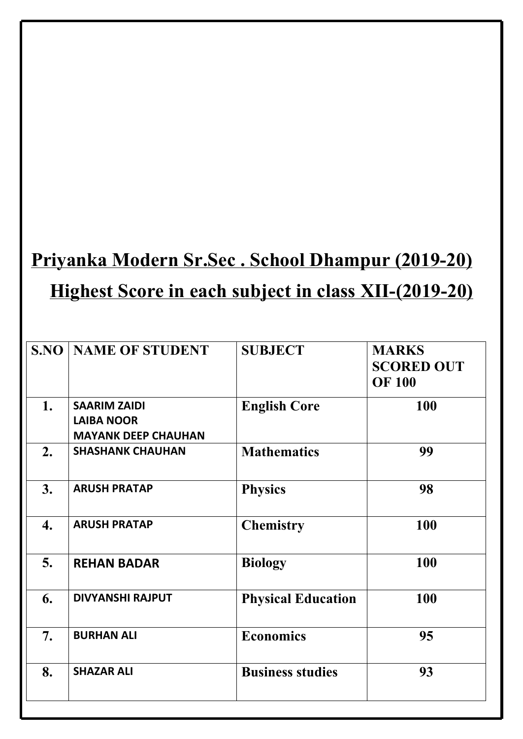# **Priyanka Modern Sr.Sec . School Dhampur (2019-20) Highest Score in each subject in class XII-(2019-20)**

| S.NO | <b>NAME OF STUDENT</b>                                                 | <b>SUBJECT</b>            | <b>MARKS</b><br><b>SCORED OUT</b><br><b>OF 100</b> |
|------|------------------------------------------------------------------------|---------------------------|----------------------------------------------------|
| 1.   | <b>SAARIM ZAIDI</b><br><b>LAIBA NOOR</b><br><b>MAYANK DEEP CHAUHAN</b> | <b>English Core</b>       | 100                                                |
| 2.   | <b>SHASHANK CHAUHAN</b>                                                | <b>Mathematics</b>        | 99                                                 |
| 3.   | <b>ARUSH PRATAP</b>                                                    | <b>Physics</b>            | 98                                                 |
| 4.   | <b>ARUSH PRATAP</b>                                                    | <b>Chemistry</b>          | 100                                                |
| 5.   | <b>REHAN BADAR</b>                                                     | <b>Biology</b>            | 100                                                |
| 6.   | <b>DIVYANSHI RAJPUT</b>                                                | <b>Physical Education</b> | 100                                                |
| 7.   | <b>BURHAN ALI</b>                                                      | <b>Economics</b>          | 95                                                 |
| 8.   | <b>SHAZAR ALI</b>                                                      | <b>Business studies</b>   | 93                                                 |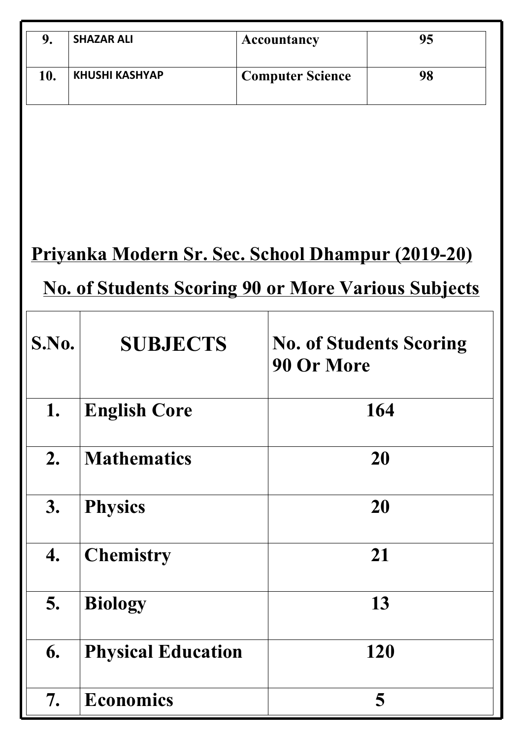| 9.    | <b>SHAZAR ALI</b>                                          | <b>Accountancy</b>      | 95                             |  |  |  |  |
|-------|------------------------------------------------------------|-------------------------|--------------------------------|--|--|--|--|
|       |                                                            |                         |                                |  |  |  |  |
| 10.   | <b>KHUSHI KASHYAP</b>                                      | <b>Computer Science</b> | 98                             |  |  |  |  |
|       |                                                            |                         |                                |  |  |  |  |
|       |                                                            |                         |                                |  |  |  |  |
|       |                                                            |                         |                                |  |  |  |  |
|       |                                                            |                         |                                |  |  |  |  |
|       |                                                            |                         |                                |  |  |  |  |
|       |                                                            |                         |                                |  |  |  |  |
|       | <u>Priyanka Modern Sr. Sec. School Dhampur (2019-20)</u>   |                         |                                |  |  |  |  |
|       |                                                            |                         |                                |  |  |  |  |
|       | <b>No. of Students Scoring 90 or More Various Subjects</b> |                         |                                |  |  |  |  |
|       |                                                            |                         |                                |  |  |  |  |
| S.No. | <b>SUBJECTS</b>                                            |                         | <b>No. of Students Scoring</b> |  |  |  |  |
|       |                                                            | 90 Or More              |                                |  |  |  |  |
|       |                                                            |                         |                                |  |  |  |  |
| 1.    | <b>English Core</b>                                        |                         | 164                            |  |  |  |  |
| 2.    | <b>Mathematics</b>                                         |                         | 20                             |  |  |  |  |
|       |                                                            |                         |                                |  |  |  |  |
| 3.    | <b>Physics</b>                                             |                         | 20                             |  |  |  |  |
|       |                                                            |                         |                                |  |  |  |  |
| 4.    | <b>Chemistry</b>                                           |                         | 21                             |  |  |  |  |
|       |                                                            |                         |                                |  |  |  |  |
| 5.    | <b>Biology</b>                                             |                         | 13                             |  |  |  |  |
|       |                                                            |                         |                                |  |  |  |  |
| 6.    | <b>Physical Education</b>                                  |                         | 120                            |  |  |  |  |
|       |                                                            |                         |                                |  |  |  |  |
| 7.    | <b>Economics</b>                                           |                         | 5                              |  |  |  |  |
|       |                                                            |                         |                                |  |  |  |  |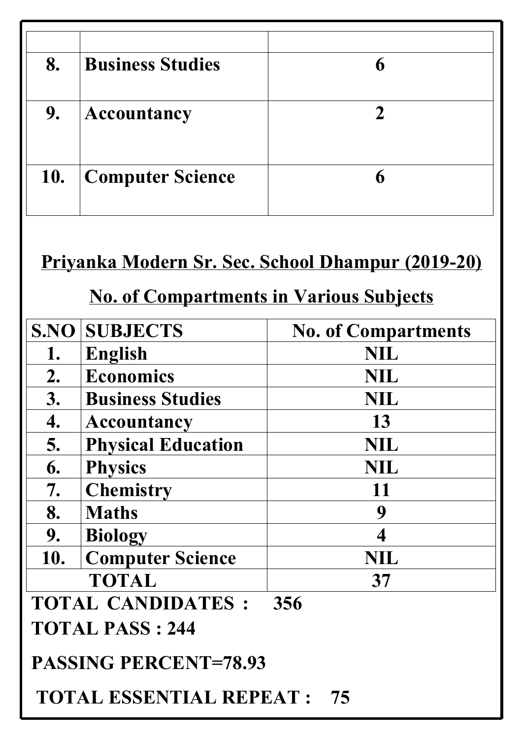| 8.         | <b>Business Studies</b> |  |
|------------|-------------------------|--|
| 9.         | <b>Accountancy</b>      |  |
| <b>10.</b> | <b>Computer Science</b> |  |
|            |                         |  |

## **Priyanka Modern Sr. Sec. School Dhampur (2019-20)**

## **No. of Compartments in Various Subjects**

| S.NO | <b>SUBJECTS</b>              | <b>No. of Compartments</b> |  |
|------|------------------------------|----------------------------|--|
| 1.   | English                      | <b>NIL</b>                 |  |
| 2.   | <b>Economics</b>             | <b>NIL</b>                 |  |
| 3.   | <b>Business Studies</b>      | <b>NIL</b>                 |  |
| 4.   | <b>Accountancy</b>           | 13                         |  |
| 5.   | <b>Physical Education</b>    | <b>NIL</b>                 |  |
| 6.   | <b>Physics</b>               | <b>NIL</b>                 |  |
| 7.   | <b>Chemistry</b>             | 11                         |  |
| 8.   | <b>Maths</b>                 | 9                          |  |
| 9.   | <b>Biology</b>               | 4                          |  |
| 10.  | <b>Computer Science</b>      | <b>NIL</b>                 |  |
|      | <b>TOTAL</b>                 | 37                         |  |
|      | <b>TOTAL CANDIDATES :</b>    | 356                        |  |
|      | <b>TOTAL PASS: 244</b>       |                            |  |
|      | <b>PASSING PERCENT=78.93</b> |                            |  |

 **TOTAL ESSENTIAL REPEAT : 75**